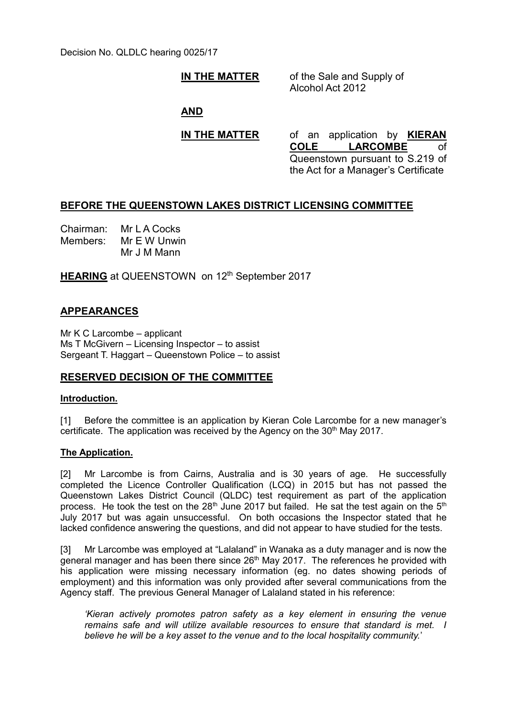Decision No. QLDLC hearing 0025/17

# **IN THE MATTER** of the Sale and Supply of

Alcohol Act 2012

# **AND**

**IN THE MATTER** of an application by **KIERAN COLE LARCOMBE** of Queenstown pursuant to S.219 of the Act for a Manager's Certificate

# **BEFORE THE QUEENSTOWN LAKES DISTRICT LICENSING COMMITTEE**

Chairman: Mr L A Cocks Members: Mr E W Unwin Mr J M Mann

**HEARING** at QUEENSTOWN on 12<sup>th</sup> September 2017

# **APPEARANCES**

Mr K C Larcombe – applicant Ms T McGivern – Licensing Inspector – to assist Sergeant T. Haggart – Queenstown Police – to assist

# **RESERVED DECISION OF THE COMMITTEE**

### **Introduction.**

[1] Before the committee is an application by Kieran Cole Larcombe for a new manager's certificate. The application was received by the Agency on the 30<sup>th</sup> May 2017.

### **The Application.**

[2] Mr Larcombe is from Cairns, Australia and is 30 years of age. He successfully completed the Licence Controller Qualification (LCQ) in 2015 but has not passed the Queenstown Lakes District Council (QLDC) test requirement as part of the application process. He took the test on the  $28<sup>th</sup>$  June 2017 but failed. He sat the test again on the  $5<sup>th</sup>$ July 2017 but was again unsuccessful. On both occasions the Inspector stated that he lacked confidence answering the questions, and did not appear to have studied for the tests.

[3] Mr Larcombe was employed at "Lalaland" in Wanaka as a duty manager and is now the general manager and has been there since 26<sup>th</sup> May 2017. The references he provided with his application were missing necessary information (eg. no dates showing periods of employment) and this information was only provided after several communications from the Agency staff. The previous General Manager of Lalaland stated in his reference:

*'Kieran actively promotes patron safety as a key element in ensuring the venue remains safe and will utilize available resources to ensure that standard is met. I believe he will be a key asset to the venue and to the local hospitality community.*'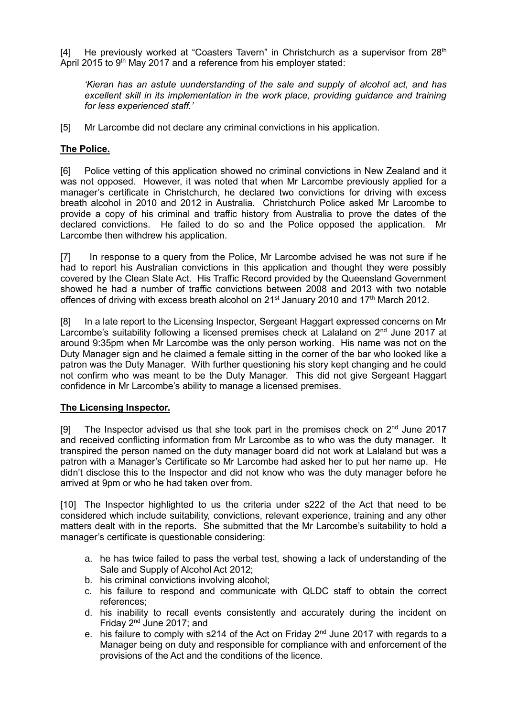[4] He previously worked at "Coasters Tavern" in Christchurch as a supervisor from  $28<sup>th</sup>$ April 2015 to 9<sup>th</sup> May 2017 and a reference from his employer stated:

*'Kieran has an astute uunderstanding of the sale and supply of alcohol act, and has excellent skill in its implementation in the work place, providing guidance and training for less experienced staff.'* 

[5] Mr Larcombe did not declare any criminal convictions in his application.

# **The Police.**

[6] Police vetting of this application showed no criminal convictions in New Zealand and it was not opposed. However, it was noted that when Mr Larcombe previously applied for a manager's certificate in Christchurch, he declared two convictions for driving with excess breath alcohol in 2010 and 2012 in Australia. Christchurch Police asked Mr Larcombe to provide a copy of his criminal and traffic history from Australia to prove the dates of the declared convictions. He failed to do so and the Police opposed the application. Mr Larcombe then withdrew his application.

[7] In response to a query from the Police, Mr Larcombe advised he was not sure if he had to report his Australian convictions in this application and thought they were possibly covered by the Clean Slate Act. His Traffic Record provided by the Queensland Government showed he had a number of traffic convictions between 2008 and 2013 with two notable offences of driving with excess breath alcohol on  $21<sup>st</sup>$  January 2010 and  $17<sup>th</sup>$  March 2012.

[8] In a late report to the Licensing Inspector, Sergeant Haggart expressed concerns on Mr Larcombe's suitability following a licensed premises check at Lalaland on 2<sup>nd</sup> June 2017 at around 9:35pm when Mr Larcombe was the only person working. His name was not on the Duty Manager sign and he claimed a female sitting in the corner of the bar who looked like a patron was the Duty Manager. With further questioning his story kept changing and he could not confirm who was meant to be the Duty Manager. This did not give Sergeant Haggart confidence in Mr Larcombe's ability to manage a licensed premises.

### **The Licensing Inspector.**

[9] The Inspector advised us that she took part in the premises check on  $2^{nd}$  June 2017 and received conflicting information from Mr Larcombe as to who was the duty manager. It transpired the person named on the duty manager board did not work at Lalaland but was a patron with a Manager's Certificate so Mr Larcombe had asked her to put her name up. He didn't disclose this to the Inspector and did not know who was the duty manager before he arrived at 9pm or who he had taken over from.

[10] The Inspector highlighted to us the criteria under s222 of the Act that need to be considered which include suitability, convictions, relevant experience, training and any other matters dealt with in the reports. She submitted that the Mr Larcombe's suitability to hold a manager's certificate is questionable considering:

- a. he has twice failed to pass the verbal test, showing a lack of understanding of the Sale and Supply of Alcohol Act 2012;
- b. his criminal convictions involving alcohol;
- c. his failure to respond and communicate with QLDC staff to obtain the correct references;
- d. his inability to recall events consistently and accurately during the incident on Friday  $2^{nd}$  June 2017; and
- e. his failure to comply with s214 of the Act on Friday 2<sup>nd</sup> June 2017 with regards to a Manager being on duty and responsible for compliance with and enforcement of the provisions of the Act and the conditions of the licence.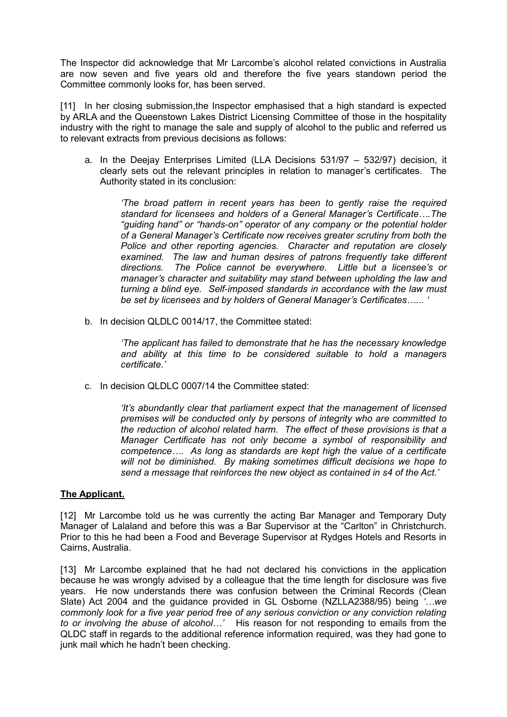The Inspector did acknowledge that Mr Larcombe's alcohol related convictions in Australia are now seven and five years old and therefore the five years standown period the Committee commonly looks for, has been served.

[11] In her closing submission, the Inspector emphasised that a high standard is expected by ARLA and the Queenstown Lakes District Licensing Committee of those in the hospitality industry with the right to manage the sale and supply of alcohol to the public and referred us to relevant extracts from previous decisions as follows:

a. In the Deejay Enterprises Limited (LLA Decisions 531/97 – 532/97) decision, it clearly sets out the relevant principles in relation to manager's certificates. The Authority stated in its conclusion:

*'The broad pattern in recent years has been to gently raise the required standard for licensees and holders of a General Manager's Certificate….The "guiding hand" or "hands-on" operator of any company or the potential holder of a General Manager's Certificate now receives greater scrutiny from both the Police and other reporting agencies. Character and reputation are closely examined. The law and human desires of patrons frequently take different directions. The Police cannot be everywhere. Little but a licensee's or manager's character and suitability may stand between upholding the law and turning a blind eye. Self-imposed standards in accordance with the law must be set by licensees and by holders of General Manager's Certificates…... '*

b. In decision QLDLC 0014/17, the Committee stated:

*'The applicant has failed to demonstrate that he has the necessary knowledge and ability at this time to be considered suitable to hold a managers certificate.'*

c. In decision QLDLC 0007/14 the Committee stated:

*'It's abundantly clear that parliament expect that the management of licensed premises will be conducted only by persons of integrity who are committed to the reduction of alcohol related harm. The effect of these provisions is that a Manager Certificate has not only become a symbol of responsibility and competence…. As long as standards are kept high the value of a certificate will not be diminished. By making sometimes difficult decisions we hope to send a message that reinforces the new object as contained in s4 of the Act.'*

### **The Applicant.**

[12] Mr Larcombe told us he was currently the acting Bar Manager and Temporary Duty Manager of Lalaland and before this was a Bar Supervisor at the "Carlton" in Christchurch. Prior to this he had been a Food and Beverage Supervisor at Rydges Hotels and Resorts in Cairns, Australia.

[13] Mr Larcombe explained that he had not declared his convictions in the application because he was wrongly advised by a colleague that the time length for disclosure was five years. He now understands there was confusion between the Criminal Records (Clean Slate) Act 2004 and the guidance provided in GL Osborne (NZLLA2388/95) being *'…we commonly look for a five year period free of any serious conviction or any conviction relating to or involving the abuse of alcohol…'* His reason for not responding to emails from the QLDC staff in regards to the additional reference information required, was they had gone to junk mail which he hadn't been checking.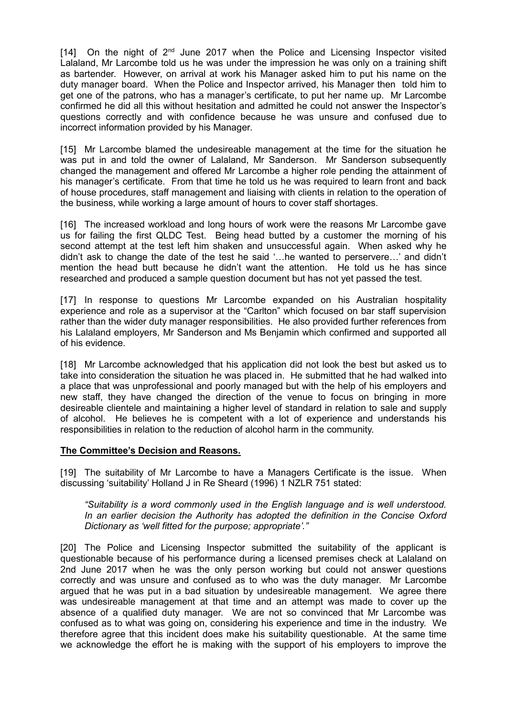[14] On the night of  $2^{nd}$  June 2017 when the Police and Licensing Inspector visited Lalaland, Mr Larcombe told us he was under the impression he was only on a training shift as bartender. However, on arrival at work his Manager asked him to put his name on the duty manager board. When the Police and Inspector arrived, his Manager then told him to get one of the patrons, who has a manager's certificate, to put her name up. Mr Larcombe confirmed he did all this without hesitation and admitted he could not answer the Inspector's questions correctly and with confidence because he was unsure and confused due to incorrect information provided by his Manager.

[15] Mr Larcombe blamed the undesireable management at the time for the situation he was put in and told the owner of Lalaland, Mr Sanderson. Mr Sanderson subsequently changed the management and offered Mr Larcombe a higher role pending the attainment of his manager's certificate. From that time he told us he was required to learn front and back of house procedures, staff management and liaising with clients in relation to the operation of the business, while working a large amount of hours to cover staff shortages.

[16] The increased workload and long hours of work were the reasons Mr Larcombe gave us for failing the first QLDC Test. Being head butted by a customer the morning of his second attempt at the test left him shaken and unsuccessful again. When asked why he didn't ask to change the date of the test he said '…he wanted to perservere…' and didn't mention the head butt because he didn't want the attention. He told us he has since researched and produced a sample question document but has not yet passed the test.

[17] In response to questions Mr Larcombe expanded on his Australian hospitality experience and role as a supervisor at the "Carlton" which focused on bar staff supervision rather than the wider duty manager responsibilities. He also provided further references from his Lalaland employers, Mr Sanderson and Ms Benjamin which confirmed and supported all of his evidence.

[18] Mr Larcombe acknowledged that his application did not look the best but asked us to take into consideration the situation he was placed in. He submitted that he had walked into a place that was unprofessional and poorly managed but with the help of his employers and new staff, they have changed the direction of the venue to focus on bringing in more desireable clientele and maintaining a higher level of standard in relation to sale and supply of alcohol. He believes he is competent with a lot of experience and understands his responsibilities in relation to the reduction of alcohol harm in the community.

### **The Committee's Decision and Reasons.**

[19] The suitability of Mr Larcombe to have a Managers Certificate is the issue. When discussing 'suitability' Holland J in Re Sheard (1996) 1 NZLR 751 stated:

#### *"Suitability is a word commonly used in the English language and is well understood. In an earlier decision the Authority has adopted the definition in the Concise Oxford Dictionary as 'well fitted for the purpose; appropriate'."*

[20] The Police and Licensing Inspector submitted the suitability of the applicant is questionable because of his performance during a licensed premises check at Lalaland on 2nd June 2017 when he was the only person working but could not answer questions correctly and was unsure and confused as to who was the duty manager. Mr Larcombe argued that he was put in a bad situation by undesireable management. We agree there was undesireable management at that time and an attempt was made to cover up the absence of a qualified duty manager. We are not so convinced that Mr Larcombe was confused as to what was going on, considering his experience and time in the industry. We therefore agree that this incident does make his suitability questionable. At the same time we acknowledge the effort he is making with the support of his employers to improve the